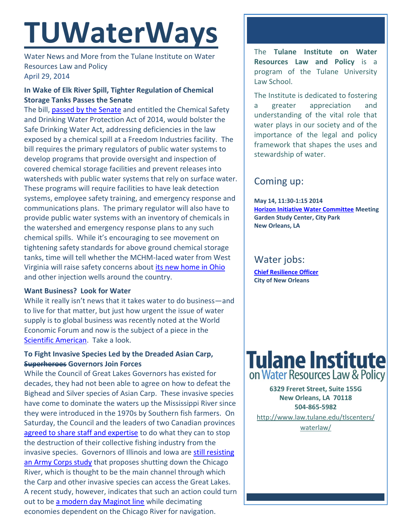# **TUWaterWays**

Water News and More from the Tulane Institute on Water Resources Law and Policy April 29, 2014

## **In Wake of Elk River Spill, Tighter Regulation of Chemical Storage Tanks Passes the Senate**

The bill, [passed by the Senate](http://www.manchin.senate.gov/public/index.cfm/files/serve?File_id=9ce5d0d4-af36-46d4-a88b-280c681b08cc&SK=CFA7F13D2C630E5ADB184B97C7049C0B) and entitled the Chemical Safety and Drinking Water Protection Act of 2014, would bolster the Safe Drinking Water Act, addressing deficiencies in the law exposed by a chemical spill at a Freedom Industries facility. The bill requires the primary regulators of public water systems to develop programs that provide oversight and inspection of covered chemical storage facilities and prevent releases into watersheds with public water systems that rely on surface water. These programs will require facilities to have leak detection systems, employee safety training, and emergency response and communications plans. The primary regulator will also have to provide public water systems with an inventory of chemicals in the watershed and emergency response plans to any such chemical spills. While it's encouraging to see movement on tightening safety standards for above ground chemical storage tanks, time will tell whether the MCHM-laced water from West Virginia will raise safety concerns about [its new home in Ohio](http://gizmodo.com/west-virginias-toxic-spill-water-will-be-pumped-into-we-1566161795) and other injection wells around the country.

## **Want Business? Look for Water**

While it really isn't news that it takes water to do business—and to live for that matter, but just how urgent the issue of water supply is to global business was recently noted at the World Economic Forum and now is the subject of a piece in the [Scientific American.](http://www.scientificamerican.com/article/water-scarcity-challenges-to-business/) Take a look.

## **To Fight Invasive Species Led by the Dreaded Asian Carp, Superheroes Governors Join Forces**

While the Council of Great Lakes Governors has existed for decades, they had not been able to agree on how to defeat the Bighead and Silver species of Asian Carp. These invasive species have come to dominate the waters up the Mississippi River since they were introduced in the 1970s by Southern fish farmers. On Saturday, the Council and the leaders of two Canadian provinces [agreed to share staff and expertise](http://www.freep.com/article/20140426/NEWS06/304260090/great-lakes-asian-carp-invasive-species) to do what they can to stop the destruction of their collective fishing industry from the invasive species. Governors of Illinois and Iowa are still resisting [an Army Corps study](http://www.chicagotribune.com/news/local/breaking/chi-army-corps-asian-carp-proposal-draws-criticism-from-kirk-others-20140112,0,1649213.story) that proposes shutting down the Chicago River, which is thought to be the main channel through which the Carp and other invasive species can access the Great Lakes. A recent study, however, indicates that such an action could turn out to be [a modern day Maginot line](http://www.post-gazette.com/news/state/2014/04/22/Dreaded-Asian-carp-may-be-on-Lake-Erie-doorstep/stories/201404220088) while decimating economies dependent on the Chicago River for navigation.

The **Tulane Institute on Water Resources Law and Policy** is a program of the Tulane University Law School.

The Institute is dedicated to fostering a greater appreciation and understanding of the vital role that water plays in our society and of the importance of the legal and policy framework that shapes the uses and stewardship of water.

# Coming up:

**May 14, 11:30-1:15 2014 [Horizon Initiative Water Committee](http://www.watershednola.org/) Meeting Garden Study Center, City Park New Orleans, LA**

# Water jobs:

**[Chief Resilience Officer](http://www.nola.gov/jobs/) City of New Orleans** 



**6329 Freret Street, Suite 155G New Orleans, LA 70118 504-865-5982** 

[http://www.law.tulane.edu/tlscenters/](http://www.law.tulane.edu/tlscenters/waterlaw/)

[waterlaw/](http://www.law.tulane.edu/tlscenters/waterlaw/)